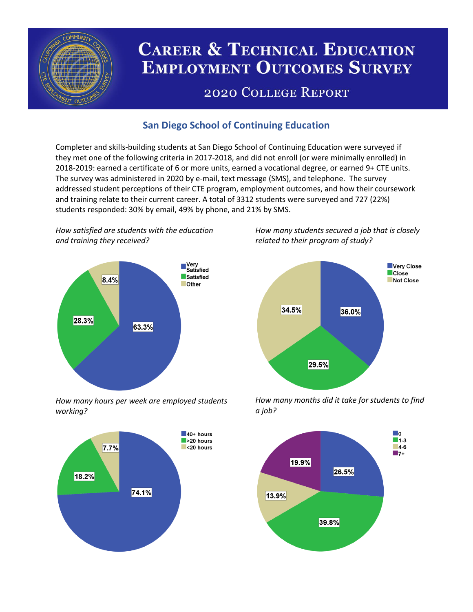

# **CAREER & TECHNICAL EDUCATION EMPLOYMENT OUTCOMES SURVEY**

## **2020 COLLEGE REPORT**

## **San Diego School of Continuing Education**

Completer and skills-building students at San Diego School of Continuing Education were surveyed if they met one of the following criteria in 2017-2018, and did not enroll (or were minimally enrolled) in 2018-2019: earned a certificate of 6 or more units, earned a vocational degree, or earned 9+ CTE units. The survey was administered in 2020 by e-mail, text message (SMS), and telephone. The survey addressed student perceptions of their CTE program, employment outcomes, and how their coursework and training relate to their current career. A total of 3312 students were surveyed and 727 (22%) students responded: 30% by email, 49% by phone, and 21% by SMS.

*How satisfied are students with the education and training they received?*



*How many hours per week are employed students working?*



*How many students secured a job that is closely related to their program of study?*



*How many months did it take for students to find a job?*